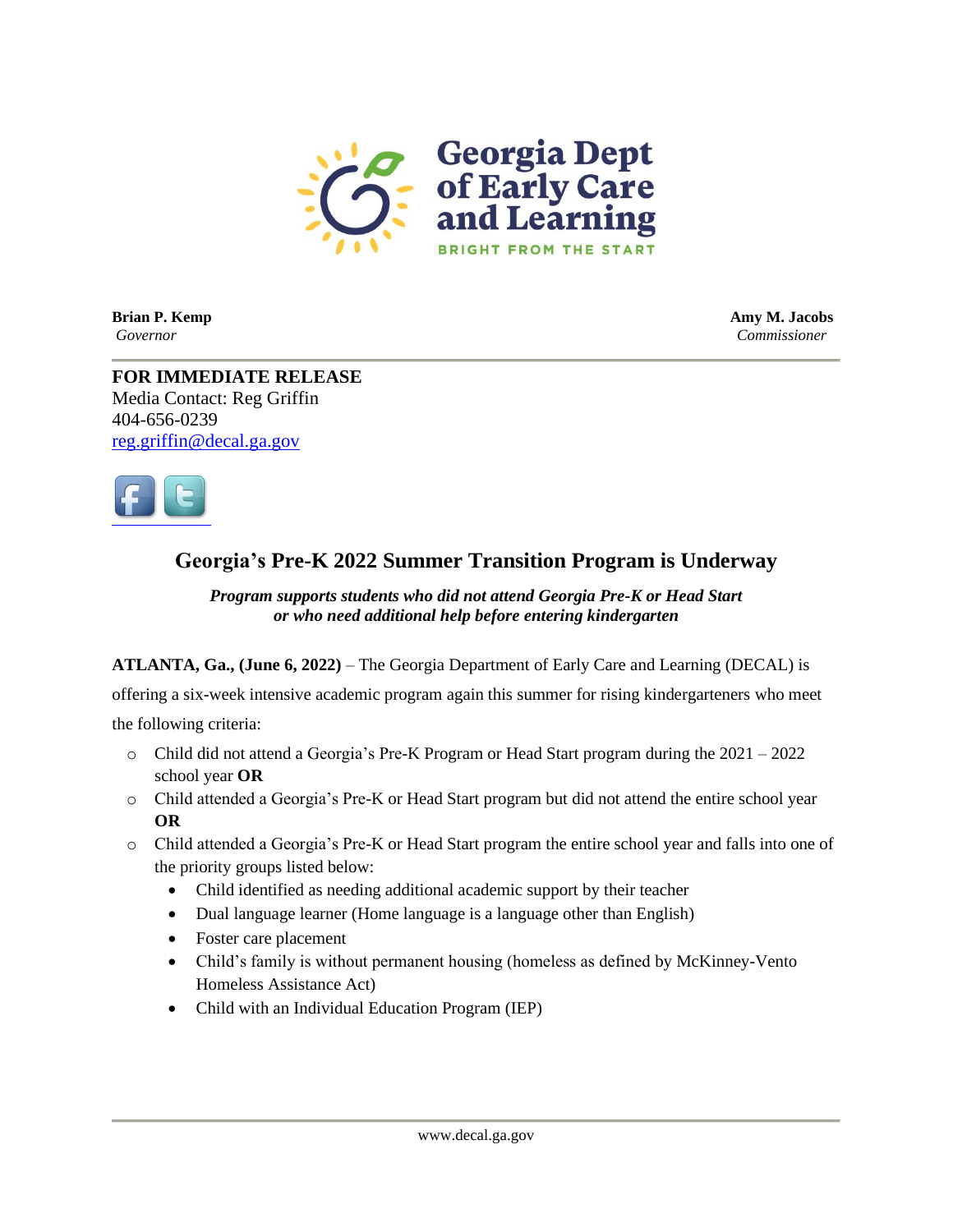

**Brian P. Kemp Amy M. Jacobs** *Governor Commissioner*

**FOR IMMEDIATE RELEASE** Media Contact: Reg Griffin 404-656-0239 [reg.griffin@decal.ga.gov](mailto:reg.griffin@decal.ga.gov)



## **Georgia's Pre-K 2022 Summer Transition Program is Underway**

## *Program supports students who did not attend Georgia Pre-K or Head Start or who need additional help before entering kindergarten*

**ATLANTA, Ga., (June 6, 2022)** – The Georgia Department of Early Care and Learning (DECAL) is

offering a six-week intensive academic program again this summer for rising kindergarteners who meet the following criteria:

- $\circ$  Child did not attend a Georgia's Pre-K Program or Head Start program during the 2021 2022 school year **OR**
- o Child attended a Georgia's Pre-K or Head Start program but did not attend the entire school year **OR**
- o Child attended a Georgia's Pre-K or Head Start program the entire school year and falls into one of the priority groups listed below:
	- Child identified as needing additional academic support by their teacher
	- Dual language learner (Home language is a language other than English)
	- Foster care placement
	- Child's family is without permanent housing (homeless as defined by McKinney-Vento Homeless Assistance Act)
	- Child with an Individual Education Program (IEP)